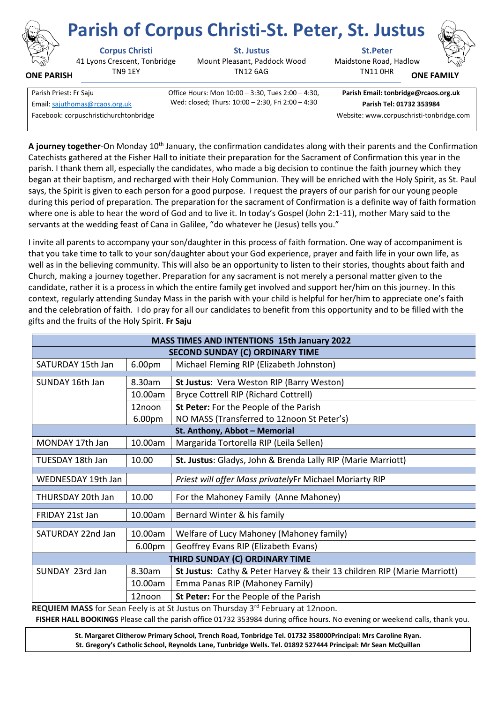

**ONE PARISH**

## **Corpus Christi St. Justus St.Peter**

41 Lyons Crescent, Tonbridge TN9 1EY

Mount Pleasant, Paddock Wood TN12 6AG



**ONE FAMILY**

| Parish Priest: Fr Saju                 | Office Hours: Mon 10:00 - 3:30, Tues 2:00 - 4:30, | Parish Email: tonbridge@rcaos.  |
|----------------------------------------|---------------------------------------------------|---------------------------------|
| Email: sajuthomas@rcaos.org.uk         | Wed: closed; Thurs: 10:00 - 2:30, Fri 2:00 - 4:30 | Parish Tel: 01732 353984        |
| Facebook: corpuschristichurchtonbridge |                                                   | Website: www.corpuschristi-tonb |

Office Hours: Mon 10:00 – 3:30, Tues 2:00 – 4:30,

**Parish Email: tonbridge@rcaos.org.uk**

TN11 0HR

Website: www.corpuschristi-tonbridge.com

A journey together-On Monday 10<sup>th</sup> January, the confirmation candidates along with their parents and the Confirmation Catechists gathered at the Fisher Hall to initiate their preparation for the Sacrament of Confirmation this year in the parish. I thank them all, especially the candidates, who made a big decision to continue the faith journey which they began at their baptism, and recharged with their Holy Communion. They will be enriched with the Holy Spirit, as St. Paul says, the Spirit is given to each person for a good purpose. I request the prayers of our parish for our young people during this period of preparation. The preparation for the sacrament of Confirmation is a definite way of faith formation where one is able to hear the word of God and to live it. In today's Gospel (John 2:1-11), mother Mary said to the servants at the wedding feast of Cana in Galilee, "do whatever he (Jesus) tells you."

I invite all parents to accompany your son/daughter in this process of faith formation. One way of accompaniment is that you take time to talk to your son/daughter about your God experience, prayer and faith life in your own life, as well as in the believing community. This will also be an opportunity to listen to their stories, thoughts about faith and Church, making a journey together. Preparation for any sacrament is not merely a personal matter given to the candidate, rather it is a process in which the entire family get involved and support her/him on this journey. In this context, regularly attending Sunday Mass in the parish with your child is helpful for her/him to appreciate one's faith and the celebration of faith. I do pray for all our candidates to benefit from this opportunity and to be filled with the gifts and the fruits of the Holy Spirit. **Fr Saju**

| <b>MASS TIMES AND INTENTIONS 15th January 2022</b> |                    |                                                                          |  |
|----------------------------------------------------|--------------------|--------------------------------------------------------------------------|--|
| <b>SECOND SUNDAY (C) ORDINARY TIME</b>             |                    |                                                                          |  |
| SATURDAY 15th Jan                                  | 6.00pm             | Michael Fleming RIP (Elizabeth Johnston)                                 |  |
|                                                    |                    |                                                                          |  |
| SUNDAY 16th Jan                                    | 8.30am             | St Justus: Vera Weston RIP (Barry Weston)                                |  |
|                                                    | 10.00am            | <b>Bryce Cottrell RIP (Richard Cottrell)</b>                             |  |
|                                                    | 12noon             | St Peter: For the People of the Parish                                   |  |
|                                                    | 6.00pm             | NO MASS (Transferred to 12noon St Peter's)                               |  |
| St. Anthony, Abbot - Memorial                      |                    |                                                                          |  |
| MONDAY 17th Jan                                    | 10.00am            | Margarida Tortorella RIP (Leila Sellen)                                  |  |
|                                                    |                    |                                                                          |  |
| TUESDAY 18th Jan                                   | 10.00              | St. Justus: Gladys, John & Brenda Lally RIP (Marie Marriott)             |  |
| WEDNESDAY 19th Jan                                 |                    | Priest will offer Mass privatelyFr Michael Moriarty RIP                  |  |
|                                                    |                    |                                                                          |  |
| THURSDAY 20th Jan                                  | 10.00              | For the Mahoney Family (Anne Mahoney)                                    |  |
| FRIDAY 21st Jan                                    | 10.00am            | Bernard Winter & his family                                              |  |
|                                                    |                    |                                                                          |  |
| SATURDAY 22nd Jan                                  | 10.00am            | Welfare of Lucy Mahoney (Mahoney family)                                 |  |
|                                                    | 6.00 <sub>pm</sub> | Geoffrey Evans RIP (Elizabeth Evans)                                     |  |
| THIRD SUNDAY (C) ORDINARY TIME                     |                    |                                                                          |  |
| SUNDAY 23rd Jan                                    | 8.30am             | St Justus: Cathy & Peter Harvey & their 13 children RIP (Marie Marriott) |  |
|                                                    | 10.00am            | Emma Panas RIP (Mahoney Family)                                          |  |
|                                                    | 12noon             | St Peter: For the People of the Parish                                   |  |
|                                                    |                    | $\sim$ $\sim$ $\sim$ $\sim$ $\sim$ $\sim$                                |  |

**REQUIEM MASS** for Sean Feely is at St Justus on Thursday 3<sup>rd</sup> February at 12noon. **FISHER HALL BOOKINGS** Please call the parish office 01732 353984 during office hours. No evening or weekend calls, thank you.

**St. Margaret Clitherow Primary School, Trench Road, Tonbridge Tel. 01732 358000Principal: Mrs Caroline Ryan. St. Gregory's Catholic School, Reynolds Lane, Tunbridge Wells. Tel. 01892 527444 Principal: Mr Sean McQuillan**